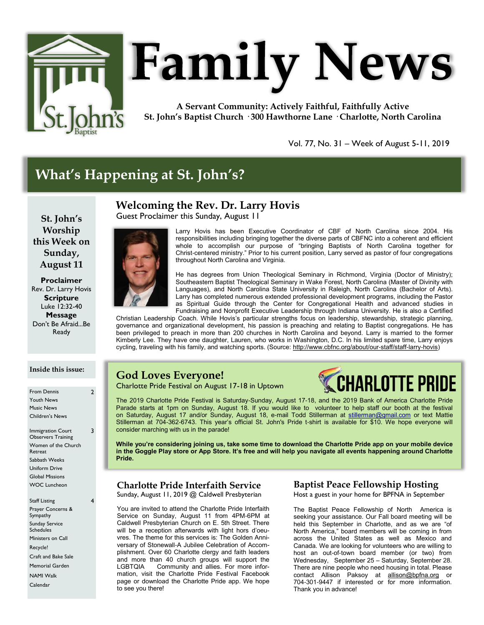

# **Family News**

**A Servant Community: Actively Faithful, Faithfully Active St. John's Baptist Church · 300 Hawthorne Lane · Charlotte, North Carolina**

Vol. 77, No. 31 – Week of August 5-11, 2019

# **What's Happening at St. John's?**

#### **Welcoming the Rev. Dr. Larry Hovis**

Guest Proclaimer this Sunday, August 11

**St. John's Worship this Week on Sunday, August 11**

**Proclaimer** Rev. Dr. Larry Hovis **Scripture** Luke 12:32-40 **Message** Don't Be Afraid...Be Ready



Larry Hovis has been Executive Coordinator of CBF of North Carolina since 2004. His responsibilities including bringing together the diverse parts of CBFNC into a coherent and efficient whole to accomplish our purpose of "bringing Baptists of North Carolina together for Christ-centered ministry." Prior to his current position, Larry served as pastor of four congregations throughout North Carolina and Virginia.

He has degrees from Union Theological Seminary in Richmond, Virginia (Doctor of Ministry); Southeastern Baptist Theological Seminary in Wake Forest, North Carolina (Master of Divinity with Languages), and North Carolina State University in Raleigh, North Carolina (Bachelor of Arts). Larry has completed numerous extended professional development programs, including the Pastor as Spiritual Guide through the Center for Congregational Health and advanced studies in Fundraising and Nonprofit Executive Leadership through Indiana University. He is also a Certified

Christian Leadership Coach. While Hovis's particular strengths focus on leadership, stewardship, strategic planning, governance and organizational development, his passion is preaching and relating to Baptist congregations. He has been privileged to preach in more than 200 churches in North Carolina and beyond. Larry is married to the former Kimberly Lee. They have one daughter, Lauren, who works in Washington, D.C. In his limited spare time, Larry enjoys cycling, traveling with his family, and watching sports. (Source: [http://www.cbfnc.org/about/our-staff/staff-larry-hovis\)](http://www.cbfnc.org/about/our-staff/staff-larry-hovis)

# **God Loves Everyone!**

Charlotte Pride Festival on August 17-18 in Uptown

# HARLOTTE PRIDE

The 2019 Charlotte Pride Festival is Saturday-Sunday, August 17-18, and the 2019 Bank of America Charlotte Pride Parade starts at 1pm on Sunday, August 18. If you would like to volunteer to help staff our booth at the festival on Saturday, August 17 and/or Sunday, August 18, e-mail Todd Stillerman at [stillerman@gmail.com](mailto:stillerman@gmail.com) or text Mattie Stillerman at 704-362-6743. This year's official St. John's Pride t-shirt is available for \$10. We hope everyone will consider marching with us in the parade!

**While you're considering joining us, take some time to download the Charlotte Pride app on your mobile device in the Goggle Play store or App Store. It's free and will help you navigate all events happening around Charlotte Pride.** 

#### **Charlotte Pride Interfaith Service**

Sunday, August 11, 2019 @ Caldwell Presbyterian

You are invited to attend the Charlotte Pride Interfaith Service on Sunday, August 11 from 4PM-6PM at Caldwell Presbyterian Church on E. 5th Street. There will be a reception afterwards with light hors d'oeuvres. The theme for this services is: The Golden Anniversary of Stonewall-A Jubilee Celebration of Accomplishment. Over 60 Charlotte clergy and faith leaders and more than 40 church groups will support the LGBTQIA Community and allies. For more information, visit the Charlotte Pride Festival Facebook page or download the Charlotte Pride app. We hope to see you there!

#### **Baptist Peace Fellowship Hosting**

Host a guest in your home for BPFNA in September

The Baptist Peace Fellowship of North America is seeking your assistance. Our Fall board meeting will be held this September in Charlotte, and as we are "of North America," board members will be coming in from across the United States as well as Mexico and Canada. We are looking for volunteers who are willing to host an out-of-town board member (or two) from Wednesday, September 25 – Saturday, September 28. There are nine people who need housing in total. Please contact Allison Paksoy at [allison@bpfna.org](mailto:allison@bpfna.org) or 704-301-9447 if interested or for more information. Thank you in advance!

**Inside this issue:**

2

3

4

| <b>From Dennis</b>        |
|---------------------------|
| <b>Youth News</b>         |
| <b>Music News</b>         |
| Children's News           |
|                           |
| <b>Immigration Court</b>  |
| <b>Observers Training</b> |
| Women of the Church       |
| Retreat                   |
| Sabbath Weeks             |
| Uniform Drive             |
| Global Missions           |
| <b>WOC Luncheon</b>       |
|                           |
| <b>Staff Listing</b>      |
| Prayer Concerns &         |
| Sympathy                  |
| <b>Sunday Service</b>     |
| Schedules                 |
| Ministers on Call         |
|                           |

Recycle! Craft and Bake Sale

Memorial Garden

NAMI Walk Calendar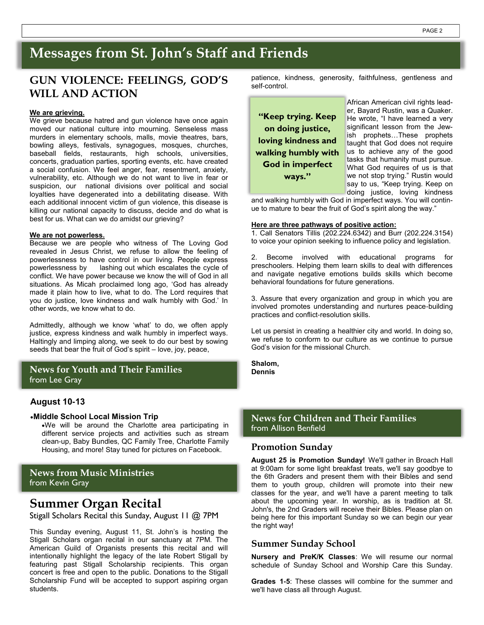# **Messages from St. John's Staff and Friends**

### **GUN VIOLENCE: FEELINGS, GOD'S WILL AND ACTION**

#### **We are grieving.**

We grieve because hatred and gun violence have once again moved our national culture into mourning. Senseless mass murders in elementary schools, malls, movie theatres, bars, bowling alleys, festivals, synagogues, mosques, churches, baseball fields, restaurants, high schools, universities, concerts, graduation parties, sporting events, etc. have created a social confusion. We feel anger, fear, resentment, anxiety, vulnerability, etc. Although we do not want to live in fear or suspicion, our national divisions over political and social loyalties have degenerated into a debilitating disease. With each additional innocent victim of gun violence, this disease is killing our national capacity to discuss, decide and do what is best for us. What can we do amidst our grieving?

#### **We are not powerless.**

Because we are people who witness of The Loving God revealed in Jesus Christ, we refuse to allow the feeling of powerlessness to have control in our living. People express powerlessness by lashing out which escalates the cycle of conflict. We have power because we know the will of God in all situations. As Micah proclaimed long ago, 'God has already made it plain how to live, what to do. The Lord requires that you do justice, love kindness and walk humbly with God.' In other words, we know what to do.

Admittedly, although we know 'what' to do, we often apply justice, express kindness and walk humbly in imperfect ways. Haltingly and limping along, we seek to do our best by sowing seeds that bear the fruit of God's spirit – love, joy, peace,

#### **News for Youth and Their Families** from Lee Gray

#### **August 10-13**

#### •**Middle School Local Mission Trip**

•We will be around the Charlotte area participating in different service projects and activities such as stream clean-up, Baby Bundles, QC Family Tree, Charlotte Family Housing, and more! Stay tuned for pictures on Facebook.

**News from Music Ministries** from Kevin Gray

#### **Summer Organ Recital**

Stigall Scholars Recital this Sunday, August 11 @ 7PM

This Sunday evening, August 11, St. John's is hosting the Stigall Scholars organ recital in our sanctuary at 7PM. The American Guild of Organists presents this recital and will intentionally highlight the legacy of the late Robert Stigall by featuring past Stigall Scholarship recipients. This organ concert is free and open to the public. Donations to the Stigall Scholarship Fund will be accepted to support aspiring organ students.

patience, kindness, generosity, faithfulness, gentleness and self-control.

**"Keep trying. Keep on doing justice, loving kindness and walking humbly with God in imperfect ways."**

African American civil rights leader, Bayard Rustin, was a Quaker. He wrote, "I have learned a very significant lesson from the Jewish prophets…These prophets taught that God does not require us to achieve any of the good tasks that humanity must pursue. What God requires of us is that we not stop trying." Rustin would say to us, "Keep trying. Keep on doing justice, loving kindness

and walking humbly with God in imperfect ways. You will continue to mature to bear the fruit of God's spirit along the way."

#### **Here are three pathways of positive action:**

1. Call Senators Tillis (202.224.6342) and Burr (202.224.3154) to voice your opinion seeking to influence policy and legislation.

2. Become involved with educational programs for preschoolers. Helping them learn skills to deal with differences and navigate negative emotions builds skills which become behavioral foundations for future generations.

3. Assure that every organization and group in which you are involved promotes understanding and nurtures peace-building practices and conflict-resolution skills.

Let us persist in creating a healthier city and world. In doing so, we refuse to conform to our culture as we continue to pursue God's vision for the missional Church.

**Shalom, Dennis**

#### **News for Children and Their Families**  from Allison Benfield

#### **Promotion Sunday**

**August 25 is Promotion Sunday!** We'll gather in Broach Hall at 9:00am for some light breakfast treats, we'll say goodbye to the 6th Graders and present them with their Bibles and send them to youth group, children will promote into their new classes for the year, and we'll have a parent meeting to talk about the upcoming year. In worship, as is tradition at St. John's, the 2nd Graders will receive their Bibles. Please plan on being here for this important Sunday so we can begin our year the right way!

#### **Summer Sunday School**

**Nursery and PreK/K Classes**: We will resume our normal schedule of Sunday School and Worship Care this Sunday.

**Grades 1-5**: These classes will combine for the summer and we'll have class all through August.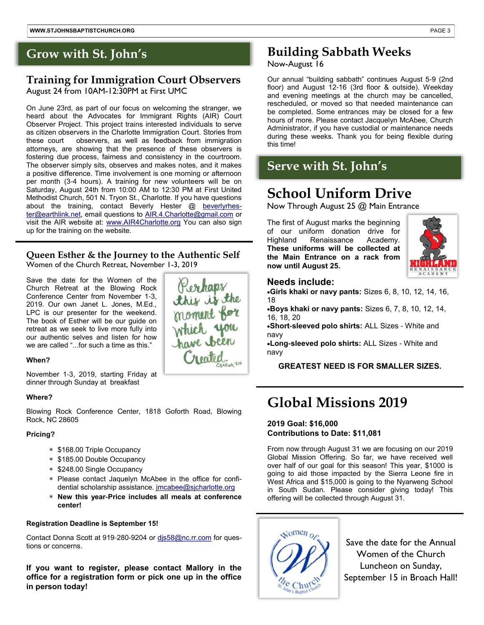#### **Training for Immigration Court Observers** August 24 from 10AM-12:30PM at First UMC

On June 23rd, as part of our focus on welcoming the stranger, we heard about the Advocates for Immigrant Rights (AIR) Court Observer Project. This project trains interested individuals to serve as citizen observers in the Charlotte Immigration Court. Stories from these court observers, as well as feedback from immigration attorneys, are showing that the presence of these observers is fostering due process, fairness and consistency in the courtroom. The observer simply sits, observes and makes notes, and it makes a positive difference. Time involvement is one morning or afternoon per month (3-4 hours). A training for new volunteers will be on Saturday, August 24th from 10:00 AM to 12:30 PM at First United Methodist Church, 501 N. Tryon St., Charlotte. If you have questions about the training, contact Beverly Hester @ [beverlyrhes](mailto:beverlyrhester@earthlink.net)[ter@earthlink.net,](mailto:beverlyrhester@earthlink.net) email questions to [AIR.4.Charlotte@gmail.com](mailto:AIR.4.Charlotte@gmail.com) or visit the AIR website at: [www.AIR4Charlotte.org](http://www.AIR4Charlotte.org) You can also sign up for the training on the website.

#### **Queen Esther & the Journey to the Authentic Self** Women of the Church Retreat, November 1-3, 2019

Perhaps<br>this is the<br>moment for<br>which you<br>have been

noated.

Save the date for the Women of the Church Retreat at the Blowing Rock Conference Center from November 1-3, 2019. Our own Janet L. Jones, M.Ed., LPC is our presenter for the weekend. The book of Esther will be our guide on retreat as we seek to live more fully into our authentic selves and listen for how we are called "...for such a time as this."

#### **When?**

November 1-3, 2019, starting Friday at dinner through Sunday at breakfast

#### **Where?**

Blowing Rock Conference Center, 1818 Goforth Road, Blowing Rock, NC 28605

#### **Pricing?**

- \* \$168.00 Triple Occupancy
- \$185.00 Double Occupancy
- \$248.00 Single Occupancy
- Please contact Jaquelyn McAbee in the office for confidential scholarship assistance. [jmcabee@sjcharlotte.org](mailto:jmcabee@sjcharlotte.org)
- **New this year-Price includes all meals at conference center!**

#### **Registration Deadline is September 15!**

Contact Donna Scott at 919-280-9204 or [djs58@nc.rr.com](mailto:djs58@nc.rr.com) for questions or concerns.

**If you want to register, please contact Mallory in the office for a registration form or pick one up in the office in person today!** 

# **Grow with St. John's Building Sabbath Weeks**

#### Now-August 16

Our annual "building sabbath" continues August 5-9 (2nd floor) and August 12-16 (3rd floor & outside). Weekday and evening meetings at the church may be cancelled, rescheduled, or moved so that needed maintenance can be completed. Some entrances may be closed for a few hours of more. Please contact Jacquelyn McAbee, Church Administrator, if you have custodial or maintenance needs during these weeks. Thank you for being flexible during this time!

# **Serve with St. John's**

# **School Uniform Drive**

Now Through August 25 @ Main Entrance

The first of August marks the beginning of our uniform donation drive for Highland Renaissance Academy. **These uniforms will be collected at the Main Entrance on a rack from now until August 25.**



#### **Needs include:**

•**Girls khaki or navy pants:** Sizes 6, 8, 10, 12, 14, 16, 18

•**Boys khaki or navy pants:** Sizes 6, 7, 8, 10, 12, 14, 16, 18, 20

•**Short-sleeved polo shirts:** ALL Sizes - White and navy

•**Long-sleeved polo shirts:** ALL Sizes - White and navy

#### **GREATEST NEED IS FOR SMALLER SIZES.**

# **Global Missions 2019**

#### **2019 Goal: \$16,000 Contributions to Date: \$11,081**

From now through August 31 we are focusing on our 2019 Global Mission Offering. So far, we have received well over half of our goal for this season! This year, \$1000 is going to aid those impacted by the Sierra Leone fire in West Africa and \$15,000 is going to the Nyarweng School in South Sudan. Please consider giving today! This offering will be collected through August 31.



Save the date for the Annual Women of the Church Luncheon on Sunday, September 15 in Broach Hall!